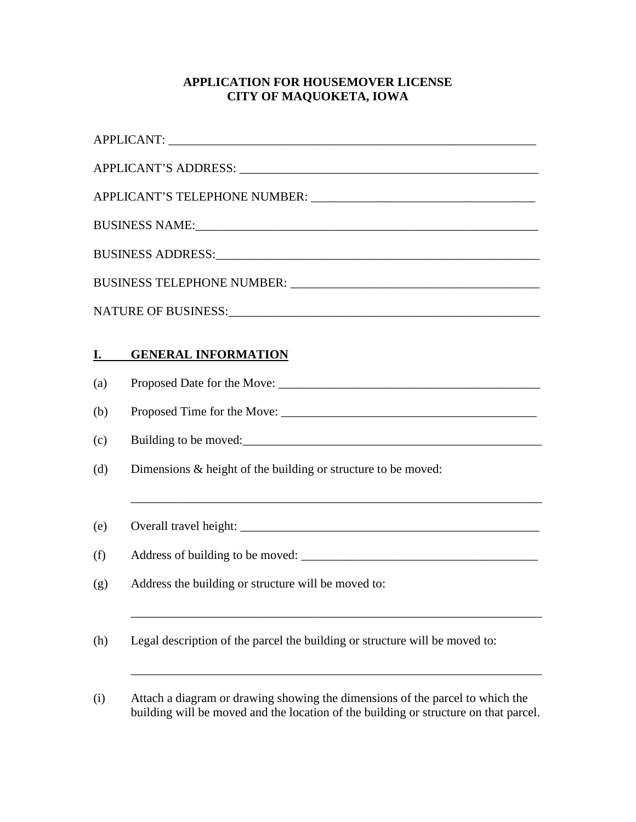## **APPLICATION FOR HOUSEMOVER LICENSE CITY OF MAQUOKETA, IOWA**

|           | APPLICANT:                                                                                                                                                            |  |  |  |  |
|-----------|-----------------------------------------------------------------------------------------------------------------------------------------------------------------------|--|--|--|--|
|           |                                                                                                                                                                       |  |  |  |  |
|           |                                                                                                                                                                       |  |  |  |  |
|           |                                                                                                                                                                       |  |  |  |  |
|           |                                                                                                                                                                       |  |  |  |  |
|           |                                                                                                                                                                       |  |  |  |  |
|           |                                                                                                                                                                       |  |  |  |  |
| <u>I.</u> | <b>GENERAL INFORMATION</b>                                                                                                                                            |  |  |  |  |
| (a)       |                                                                                                                                                                       |  |  |  |  |
| (b)       |                                                                                                                                                                       |  |  |  |  |
| (c)       |                                                                                                                                                                       |  |  |  |  |
| (d)       | Dimensions $\&$ height of the building or structure to be moved:                                                                                                      |  |  |  |  |
| (e)       | ,我们也不能在这里的时候,我们也不能在这里的时候,我们也不能会在这里的时候,我们也不能会在这里的时候,我们也不能会在这里的时候,我们也不能会在这里的时候,我们也                                                                                      |  |  |  |  |
| (f)       |                                                                                                                                                                       |  |  |  |  |
| (g)       | Address the building or structure will be moved to:                                                                                                                   |  |  |  |  |
| (h)       | Legal description of the parcel the building or structure will be moved to:                                                                                           |  |  |  |  |
| (i)       | Attach a diagram or drawing showing the dimensions of the parcel to which the<br>building will be moved and the location of the building or structure on that parcel. |  |  |  |  |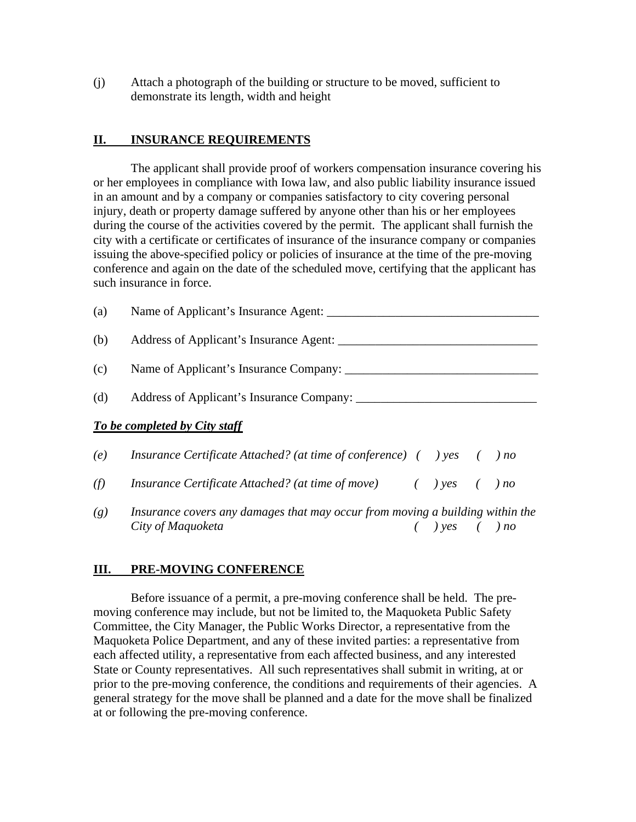(j) Attach a photograph of the building or structure to be moved, sufficient to demonstrate its length, width and height

#### **II. INSURANCE REQUIREMENTS**

 The applicant shall provide proof of workers compensation insurance covering his or her employees in compliance with Iowa law, and also public liability insurance issued in an amount and by a company or companies satisfactory to city covering personal injury, death or property damage suffered by anyone other than his or her employees during the course of the activities covered by the permit. The applicant shall furnish the city with a certificate or certificates of insurance of the insurance company or companies issuing the above-specified policy or policies of insurance at the time of the pre-moving conference and again on the date of the scheduled move, certifying that the applicant has such insurance in force.

| (a) | Name of Applicant's Insurance Agent:                                                                    |  |  |  |  |
|-----|---------------------------------------------------------------------------------------------------------|--|--|--|--|
| (b) | Address of Applicant's Insurance Agent:                                                                 |  |  |  |  |
| (c) | Name of Applicant's Insurance Company: _______                                                          |  |  |  |  |
| (d) |                                                                                                         |  |  |  |  |
|     | To be completed by City staff                                                                           |  |  |  |  |
| (e) | <i>Insurance Certificate Attached?</i> ( <i>at time of conference</i> ) $($ $)$ $yes$ $($ $)$ <i>no</i> |  |  |  |  |
| (f) | <i>Insurance Certificate Attached?</i> ( <i>at time of move</i> ) $($ $)$ $yes$ $($ $)$ <i>no</i>       |  |  |  |  |
| (g) | Insurance covers any damages that may occur from moving a building within the                           |  |  |  |  |

*City of Maquoketa ( ) yes ( ) no*

# **III. PRE-MOVING CONFERENCE**

Before issuance of a permit, a pre-moving conference shall be held. The premoving conference may include, but not be limited to, the Maquoketa Public Safety Committee, the City Manager, the Public Works Director, a representative from the Maquoketa Police Department, and any of these invited parties: a representative from each affected utility, a representative from each affected business, and any interested State or County representatives. All such representatives shall submit in writing, at or prior to the pre-moving conference, the conditions and requirements of their agencies. A general strategy for the move shall be planned and a date for the move shall be finalized at or following the pre-moving conference.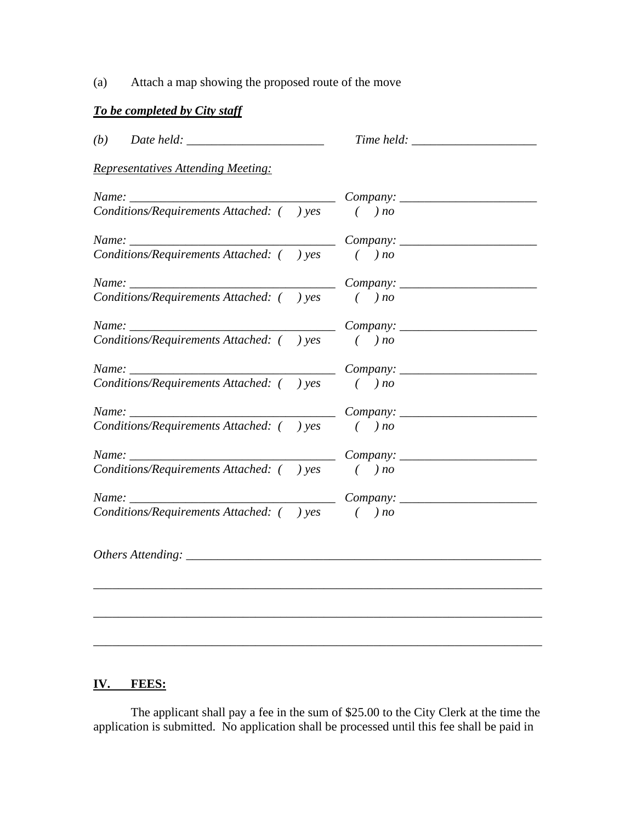(a) Attach a map showing the proposed route of the move

## *To be completed by City staff*

| $(b)$ Date held:                               |                             |
|------------------------------------------------|-----------------------------|
| <b>Representatives Attending Meeting:</b>      |                             |
| Name:                                          | $Company: \_\_$             |
| Conditions/Requirements Attached: () yes       | $( )$ no                    |
|                                                | $Company: \_\_$             |
| Conditions/Requirements Attached: () yes       | $( )$ no                    |
|                                                | $Company: \_\_$             |
| Conditions/Requirements Attached: () yes () no |                             |
|                                                |                             |
| Conditions/Requirements Attached: () yes () no |                             |
|                                                |                             |
| Conditions/Requirements Attached: () yes       | $($ $) no$                  |
|                                                | $Company: \_\_$             |
| Conditions/Requirements Attached: () yes       | $\left( \quad \right)$ no   |
| $Name: \_\_$                                   | $Company: \_\_$             |
| Conditions/Requirements Attached: () yes () no |                             |
| $Name: \_\_$                                   | $\frac{1}{\text{Company:}}$ |
| Conditions/Requirements Attached: () yes () no |                             |
|                                                |                             |
|                                                |                             |
|                                                |                             |
|                                                |                             |
|                                                |                             |

### **IV. FEES:**

The applicant shall pay a fee in the sum of \$25.00 to the City Clerk at the time the application is submitted. No application shall be processed until this fee shall be paid in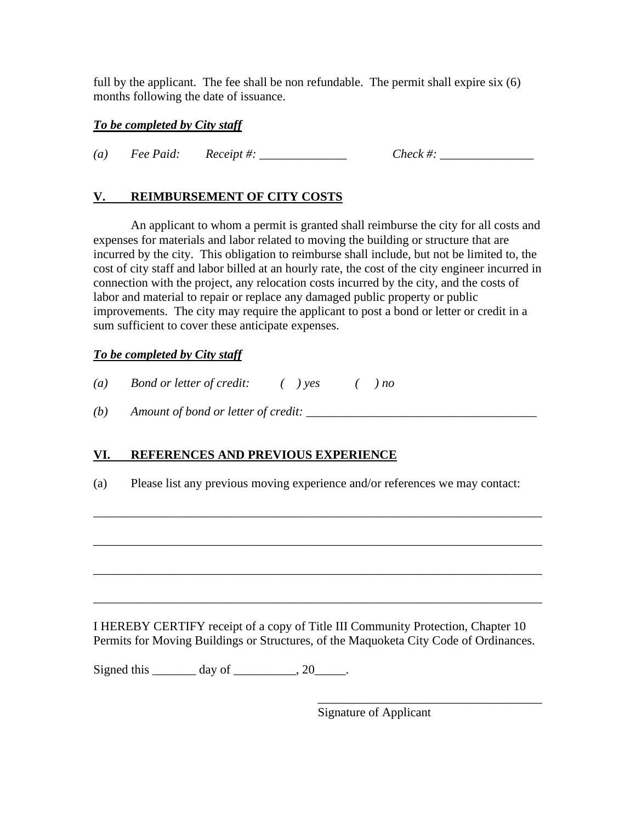full by the applicant. The fee shall be non refundable. The permit shall expire six (6) months following the date of issuance.

#### *To be completed by City staff*

*(a) Fee Paid: Receipt #: \_\_\_\_\_\_\_\_\_\_\_\_\_\_ Check #: \_\_\_\_\_\_\_\_\_\_\_\_\_\_\_* 

## **V. REIMBURSEMENT OF CITY COSTS**

An applicant to whom a permit is granted shall reimburse the city for all costs and expenses for materials and labor related to moving the building or structure that are incurred by the city. This obligation to reimburse shall include, but not be limited to, the cost of city staff and labor billed at an hourly rate, the cost of the city engineer incurred in connection with the project, any relocation costs incurred by the city, and the costs of labor and material to repair or replace any damaged public property or public improvements. The city may require the applicant to post a bond or letter or credit in a sum sufficient to cover these anticipate expenses.

#### *To be completed by City staff*

*(a) Bond or letter of credit: ( ) yes ( ) no*

*(b) Amount of bond or letter of credit:* 

## **VI. REFERENCES AND PREVIOUS EXPERIENCE**

(a) Please list any previous moving experience and/or references we may contact:

\_\_\_\_\_\_\_\_\_\_\_\_\_\_\_\_\_\_\_\_\_\_\_\_\_\_\_\_\_\_\_\_\_\_\_\_\_\_\_\_\_\_\_\_\_\_\_\_\_\_\_\_\_\_\_\_\_\_\_\_\_\_\_\_\_\_\_\_\_\_\_\_

\_\_\_\_\_\_\_\_\_\_\_\_\_\_\_\_\_\_\_\_\_\_\_\_\_\_\_\_\_\_\_\_\_\_\_\_\_\_\_\_\_\_\_\_\_\_\_\_\_\_\_\_\_\_\_\_\_\_\_\_\_\_\_\_\_\_\_\_\_\_\_\_

\_\_\_\_\_\_\_\_\_\_\_\_\_\_\_\_\_\_\_\_\_\_\_\_\_\_\_\_\_\_\_\_\_\_\_\_\_\_\_\_\_\_\_\_\_\_\_\_\_\_\_\_\_\_\_\_\_\_\_\_\_\_\_\_\_\_\_\_\_\_\_\_

I HEREBY CERTIFY receipt of a copy of Title III Community Protection, Chapter 10 Permits for Moving Buildings or Structures, of the Maquoketa City Code of Ordinances.

Signed this  $\qquad \qquad \text{day of} \qquad \qquad .20 \qquad .$ 

 $\overline{\phantom{a}}$  , which is a set of the set of the set of the set of the set of the set of the set of the set of the set of the set of the set of the set of the set of the set of the set of the set of the set of the set of th Signature of Applicant